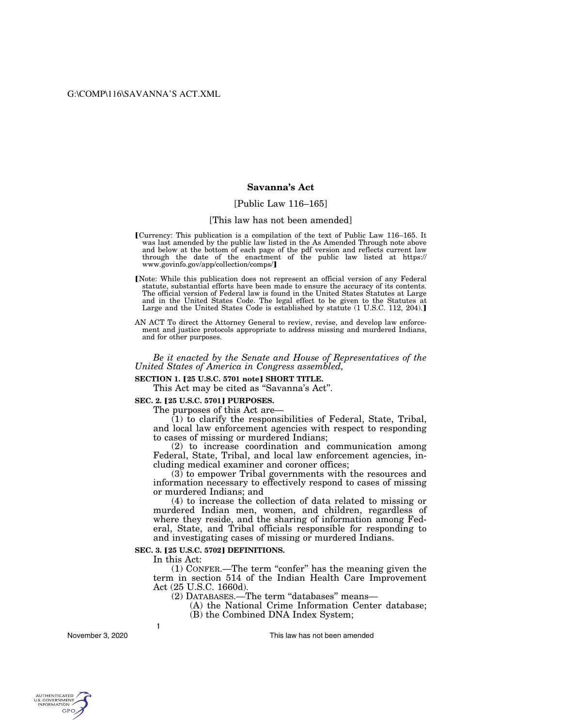# **Savanna's Act**

### [Public Law 116–165]

#### [This law has not been amended]

- [Currency: This publication is a compilation of the text of Public Law 116–165. It was last amended by the public law listed in the As Amended Through note above and below at the bottom of each page of the pdf version and through the date of the enactment of the public law listed at https://<br>www.govinfo.gov/app/collection/comps/]
- Note: While this publication does not represent an official version of any Federal statute, substantial efforts have been made to ensure the accuracy of its contents. The official version of Federal law is found in the United States Statutes at Large and in the United States Code. The legal effect to be given to the Statutes at Large and the United States Code is established by statute (1 U.S.C. 112, 204).]
- AN ACT To direct the Attorney General to review, revise, and develop law enforcement and justice protocols appropriate to address missing and murdered Indians, and for other purposes.

*Be it enacted by the Senate and House of Representatives of the United States of America in Congress assembled,* 

# **SECTION 1. [25 U.S.C. 5701 note] SHORT TITLE.**

This Act may be cited as "Savanna's Act".

### **SEC. 2. [25 U.S.C. 5701] PURPOSES.**

The purposes of this Act are—

(1) to clarify the responsibilities of Federal, State, Tribal, and local law enforcement agencies with respect to responding to cases of missing or murdered Indians;

(2) to increase coordination and communication among Federal, State, Tribal, and local law enforcement agencies, including medical examiner and coroner offices;

(3) to empower Tribal governments with the resources and information necessary to effectively respond to cases of missing or murdered Indians; and

(4) to increase the collection of data related to missing or murdered Indian men, women, and children, regardless of where they reside, and the sharing of information among Federal, State, and Tribal officials responsible for responding to and investigating cases of missing or murdered Indians.

### **SEC. 3. [25 U.S.C. 5702] DEFINITIONS.**

In this Act:

**1** 

(1) CONFER.—The term ''confer'' has the meaning given the term in section 514 of the Indian Health Care Improvement Act (25 U.S.C. 1660d).

(2) DATABASES.—The term ''databases'' means—

- (A) the National Crime Information Center database;
- (B) the Combined DNA Index System;

November 3, 2020

This law has not been amended

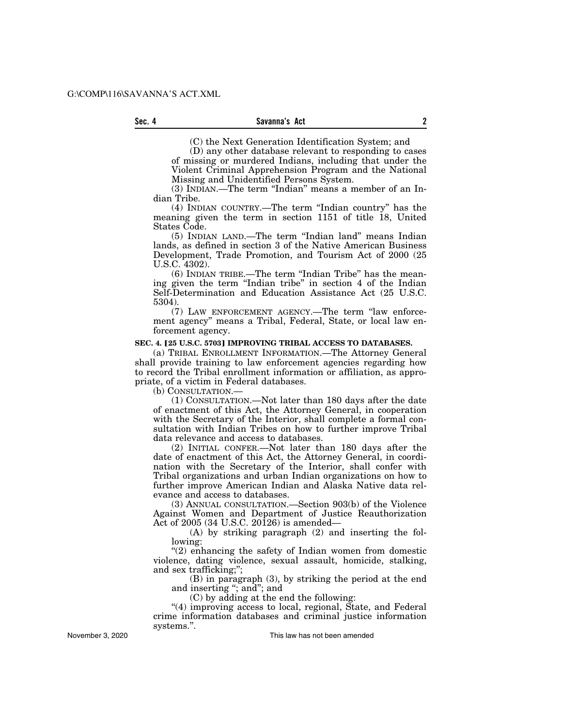(C) the Next Generation Identification System; and

(D) any other database relevant to responding to cases of missing or murdered Indians, including that under the Violent Criminal Apprehension Program and the National Missing and Unidentified Persons System.

(3) INDIAN.—The term ''Indian'' means a member of an Indian Tribe.

(4) INDIAN COUNTRY.—The term ''Indian country'' has the meaning given the term in section 1151 of title 18, United States Code.

(5) INDIAN LAND.—The term ''Indian land'' means Indian lands, as defined in section 3 of the Native American Business Development, Trade Promotion, and Tourism Act of 2000 (25 U.S.C. 4302).

(6) INDIAN TRIBE.—The term ''Indian Tribe'' has the meaning given the term ''Indian tribe'' in section 4 of the Indian Self-Determination and Education Assistance Act (25 U.S.C. 5304).

(7) LAW ENFORCEMENT AGENCY.—The term ''law enforcement agency'' means a Tribal, Federal, State, or local law enforcement agency.

### **SEC. 4. [25 U.S.C. 5703] IMPROVING TRIBAL ACCESS TO DATABASES.**

(a) TRIBAL ENROLLMENT INFORMATION.—The Attorney General shall provide training to law enforcement agencies regarding how to record the Tribal enrollment information or affiliation, as appropriate, of a victim in Federal databases.

(b) CONSULTATION.—

(1) CONSULTATION.—Not later than 180 days after the date of enactment of this Act, the Attorney General, in cooperation with the Secretary of the Interior, shall complete a formal consultation with Indian Tribes on how to further improve Tribal data relevance and access to databases.

(2) INITIAL CONFER.—Not later than 180 days after the date of enactment of this Act, the Attorney General, in coordination with the Secretary of the Interior, shall confer with Tribal organizations and urban Indian organizations on how to further improve American Indian and Alaska Native data relevance and access to databases.

(3) ANNUAL CONSULTATION.—Section 903(b) of the Violence Against Women and Department of Justice Reauthorization Act of 2005 (34 U.S.C. 20126) is amended—

(A) by striking paragraph (2) and inserting the following:

"(2) enhancing the safety of Indian women from domestic violence, dating violence, sexual assault, homicide, stalking, and sex trafficking;'';

(B) in paragraph (3), by striking the period at the end and inserting "; and"; and

(C) by adding at the end the following:

''(4) improving access to local, regional, State, and Federal crime information databases and criminal justice information systems.''.

November 3, 2020

This law has not been amended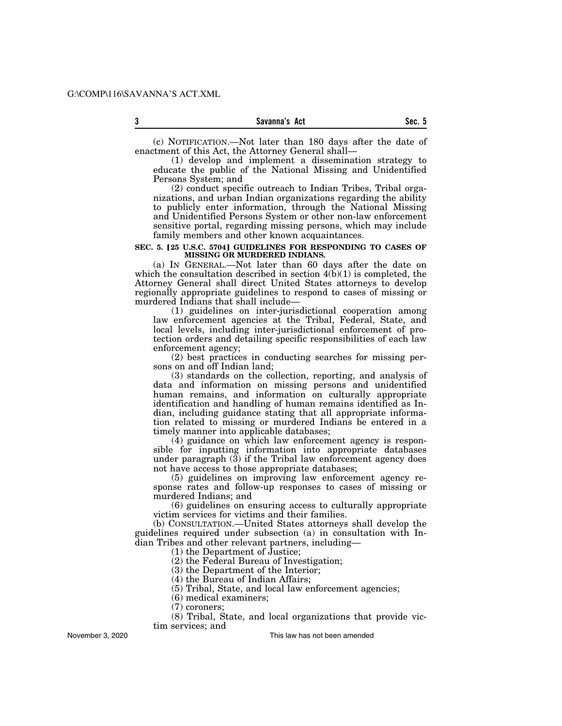**3 Sec. 5 Savanna's Act** 

(c) NOTIFICATION.—Not later than 180 days after the date of enactment of this Act, the Attorney General shall—

(1) develop and implement a dissemination strategy to educate the public of the National Missing and Unidentified Persons System; and

(2) conduct specific outreach to Indian Tribes, Tribal organizations, and urban Indian organizations regarding the ability to publicly enter information, through the National Missing and Unidentified Persons System or other non-law enforcement sensitive portal, regarding missing persons, which may include family members and other known acquaintances.

### **SEC. 5. [25 U.S.C. 5704] GUIDELINES FOR RESPONDING TO CASES OF MISSING OR MURDERED INDIANS.**

(a) IN GENERAL.—Not later than 60 days after the date on which the consultation described in section  $4(b)(1)$  is completed, the Attorney General shall direct United States attorneys to develop regionally appropriate guidelines to respond to cases of missing or murdered Indians that shall include—

(1) guidelines on inter-jurisdictional cooperation among law enforcement agencies at the Tribal, Federal, State, and local levels, including inter-jurisdictional enforcement of protection orders and detailing specific responsibilities of each law enforcement agency;

(2) best practices in conducting searches for missing persons on and off Indian land;

(3) standards on the collection, reporting, and analysis of data and information on missing persons and unidentified human remains, and information on culturally appropriate identification and handling of human remains identified as Indian, including guidance stating that all appropriate information related to missing or murdered Indians be entered in a timely manner into applicable databases;

(4) guidance on which law enforcement agency is responsible for inputting information into appropriate databases under paragraph (3) if the Tribal law enforcement agency does not have access to those appropriate databases;

(5) guidelines on improving law enforcement agency response rates and follow-up responses to cases of missing or murdered Indians; and

(6) guidelines on ensuring access to culturally appropriate victim services for victims and their families.

(b) CONSULTATION.—United States attorneys shall develop the guidelines required under subsection (a) in consultation with Indian Tribes and other relevant partners, including—

(1) the Department of Justice;

(2) the Federal Bureau of Investigation;

(3) the Department of the Interior;

(4) the Bureau of Indian Affairs;

(5) Tribal, State, and local law enforcement agencies;

(6) medical examiners;

(7) coroners;

(8) Tribal, State, and local organizations that provide victim services; and

November 3, 2020

This law has not been amended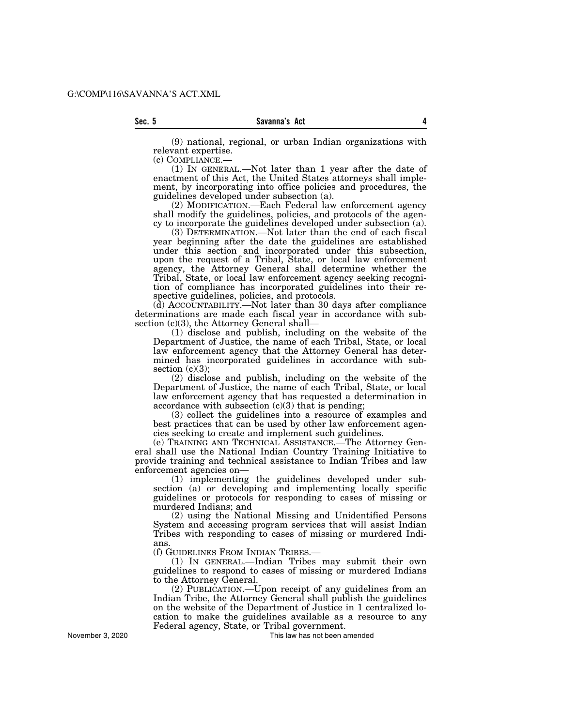(9) national, regional, or urban Indian organizations with relevant expertise.<br>(c) COMPLIANCE.—

(1) IN GENERAL.—Not later than 1 year after the date of enactment of this Act, the United States attorneys shall implement, by incorporating into office policies and procedures, the guidelines developed under subsection (a).

(2) MODIFICATION.—Each Federal law enforcement agency shall modify the guidelines, policies, and protocols of the agency to incorporate the guidelines developed under subsection (a).

(3) DETERMINATION.—Not later than the end of each fiscal year beginning after the date the guidelines are established under this section and incorporated under this subsection, upon the request of a Tribal, State, or local law enforcement agency, the Attorney General shall determine whether the Tribal, State, or local law enforcement agency seeking recognition of compliance has incorporated guidelines into their respective guidelines, policies, and protocols.

(d) ACCOUNTABILITY.—Not later than 30 days after compliance determinations are made each fiscal year in accordance with subsection (c)(3), the Attorney General shall—

(1) disclose and publish, including on the website of the Department of Justice, the name of each Tribal, State, or local law enforcement agency that the Attorney General has determined has incorporated guidelines in accordance with subsection  $(c)(3)$ ;

(2) disclose and publish, including on the website of the Department of Justice, the name of each Tribal, State, or local law enforcement agency that has requested a determination in accordance with subsection (c)(3) that is pending;

(3) collect the guidelines into a resource of examples and best practices that can be used by other law enforcement agencies seeking to create and implement such guidelines.

(e) TRAINING AND TECHNICAL ASSISTANCE.—The Attorney General shall use the National Indian Country Training Initiative to provide training and technical assistance to Indian Tribes and law enforcement agencies on—

(1) implementing the guidelines developed under subsection (a) or developing and implementing locally specific guidelines or protocols for responding to cases of missing or murdered Indians; and

(2) using the National Missing and Unidentified Persons System and accessing program services that will assist Indian Tribes with responding to cases of missing or murdered Indians.

(f) GUIDELINES FROM INDIAN TRIBES.—

(1) IN GENERAL.—Indian Tribes may submit their own guidelines to respond to cases of missing or murdered Indians to the Attorney General.

(2) PUBLICATION.—Upon receipt of any guidelines from an Indian Tribe, the Attorney General shall publish the guidelines on the website of the Department of Justice in 1 centralized location to make the guidelines available as a resource to any Federal agency, State, or Tribal government.

This law has not been amended

November 3, 2020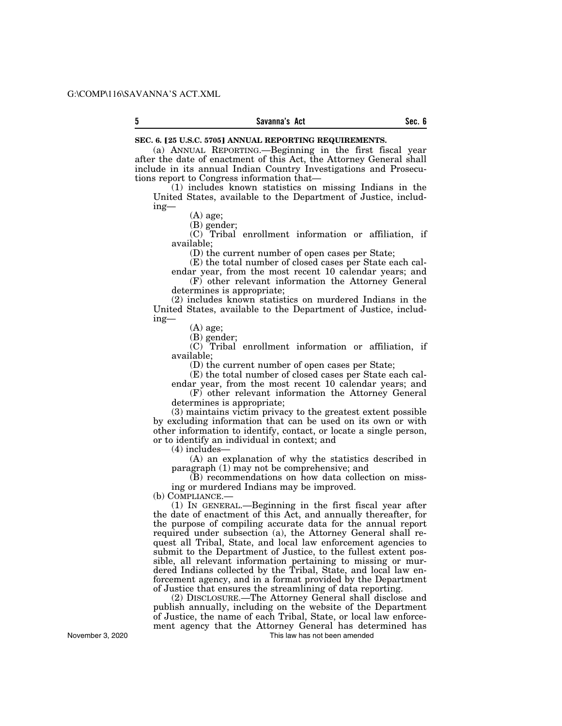#### **5 Sec. 6 Savanna's Act**

#### **SEC. 6. [25 U.S.C. 5705] ANNUAL REPORTING REQUIREMENTS.**

(a) ANNUAL REPORTING.—Beginning in the first fiscal year after the date of enactment of this Act, the Attorney General shall include in its annual Indian Country Investigations and Prosecutions report to Congress information that—

(1) includes known statistics on missing Indians in the United States, available to the Department of Justice, including—

(A) age;

(B) gender;

(C) Tribal enrollment information or affiliation, if available;

(D) the current number of open cases per State;

(E) the total number of closed cases per State each cal-

endar year, from the most recent 10 calendar years; and (F) other relevant information the Attorney General

determines is appropriate;

(2) includes known statistics on murdered Indians in the United States, available to the Department of Justice, including—

(A) age;

(B) gender;

(C) Tribal enrollment information or affiliation, if available;

(D) the current number of open cases per State;

(E) the total number of closed cases per State each calendar year, from the most recent 10 calendar years; and

(F) other relevant information the Attorney General determines is appropriate;

(3) maintains victim privacy to the greatest extent possible by excluding information that can be used on its own or with other information to identify, contact, or locate a single person, or to identify an individual in context; and

(4) includes—

(A) an explanation of why the statistics described in paragraph (1) may not be comprehensive; and

(B) recommendations on how data collection on missing or murdered Indians may be improved.

(b) COMPLIANCE.—

(1) IN GENERAL.—Beginning in the first fiscal year after the date of enactment of this Act, and annually thereafter, for the purpose of compiling accurate data for the annual report required under subsection (a), the Attorney General shall request all Tribal, State, and local law enforcement agencies to submit to the Department of Justice, to the fullest extent possible, all relevant information pertaining to missing or murdered Indians collected by the Tribal, State, and local law enforcement agency, and in a format provided by the Department of Justice that ensures the streamlining of data reporting.

(2) DISCLOSURE.—The Attorney General shall disclose and publish annually, including on the website of the Department of Justice, the name of each Tribal, State, or local law enforcement agency that the Attorney General has determined has This law has not been amended

November 3, 2020